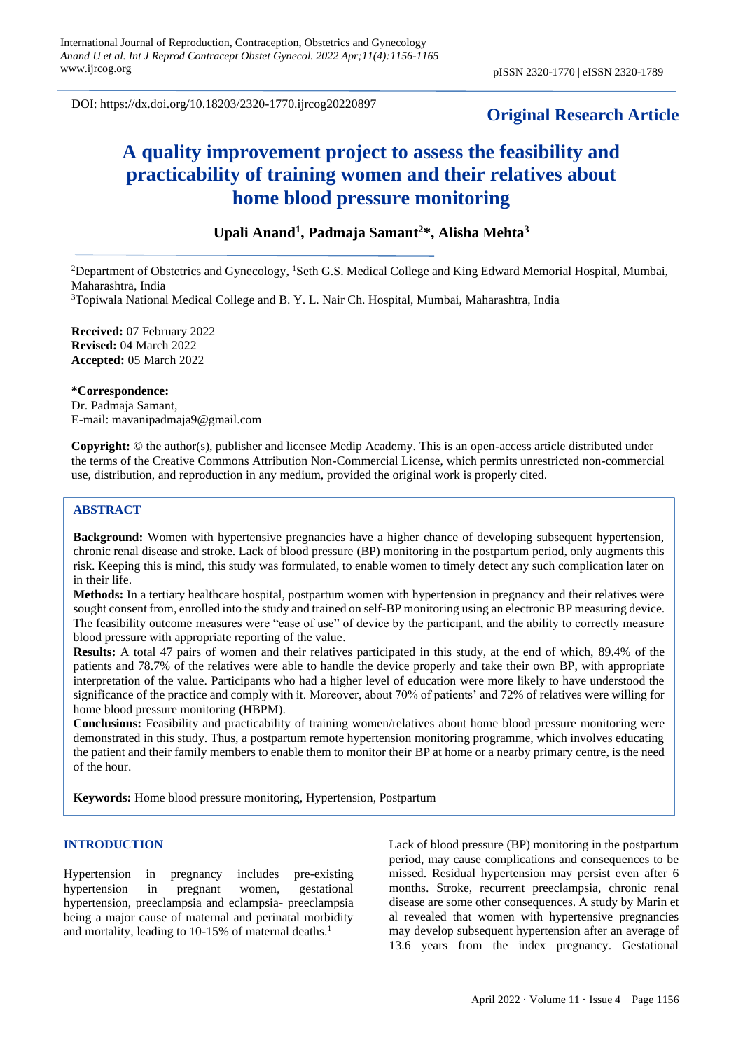DOI: https://dx.doi.org/10.18203/2320-1770.ijrcog20220897

# **Original Research Article**

# **A quality improvement project to assess the feasibility and practicability of training women and their relatives about home blood pressure monitoring**

# **Upali Anand<sup>1</sup> , Padmaja Samant<sup>2</sup>\*, Alisha Mehta<sup>3</sup>**

<sup>2</sup>Department of Obstetrics and Gynecology, <sup>1</sup>Seth G.S. Medical College and King Edward Memorial Hospital, Mumbai, Maharashtra, India

<sup>3</sup>Topiwala National Medical College and B. Y. L. Nair Ch. Hospital, Mumbai, Maharashtra, India

**Received:** 07 February 2022 **Revised:** 04 March 2022 **Accepted:** 05 March 2022

**\*Correspondence:** Dr. Padmaja Samant, E-mail: mavanipadmaja9@gmail.com

**Copyright:** © the author(s), publisher and licensee Medip Academy. This is an open-access article distributed under the terms of the Creative Commons Attribution Non-Commercial License, which permits unrestricted non-commercial use, distribution, and reproduction in any medium, provided the original work is properly cited.

# **ABSTRACT**

**Background:** Women with hypertensive pregnancies have a higher chance of developing subsequent hypertension, chronic renal disease and stroke. Lack of blood pressure (BP) monitoring in the postpartum period, only augments this risk. Keeping this is mind, this study was formulated, to enable women to timely detect any such complication later on in their life.

**Methods:** In a tertiary healthcare hospital, postpartum women with hypertension in pregnancy and their relatives were sought consent from, enrolled into the study and trained on self-BP monitoring using an electronic BP measuring device. The feasibility outcome measures were "ease of use" of device by the participant, and the ability to correctly measure blood pressure with appropriate reporting of the value.

**Results:** A total 47 pairs of women and their relatives participated in this study, at the end of which, 89.4% of the patients and 78.7% of the relatives were able to handle the device properly and take their own BP, with appropriate interpretation of the value. Participants who had a higher level of education were more likely to have understood the significance of the practice and comply with it. Moreover, about 70% of patients' and 72% of relatives were willing for home blood pressure monitoring (HBPM).

**Conclusions:** Feasibility and practicability of training women/relatives about home blood pressure monitoring were demonstrated in this study. Thus, a postpartum remote hypertension monitoring programme, which involves educating the patient and their family members to enable them to monitor their BP at home or a nearby primary centre, is the need of the hour.

**Keywords:** Home blood pressure monitoring, Hypertension, Postpartum

# **INTRODUCTION**

Hypertension in pregnancy includes pre-existing hypertension in pregnant women, gestational hypertension, preeclampsia and eclampsia- preeclampsia being a major cause of maternal and perinatal morbidity and mortality, leading to 10-15% of maternal deaths. 1

Lack of blood pressure (BP) monitoring in the postpartum period, may cause complications and consequences to be missed. Residual hypertension may persist even after 6 months. Stroke, recurrent preeclampsia, chronic renal disease are some other consequences. A study by Marin et al revealed that women with hypertensive pregnancies may develop subsequent hypertension after an average of 13.6 years from the index pregnancy. Gestational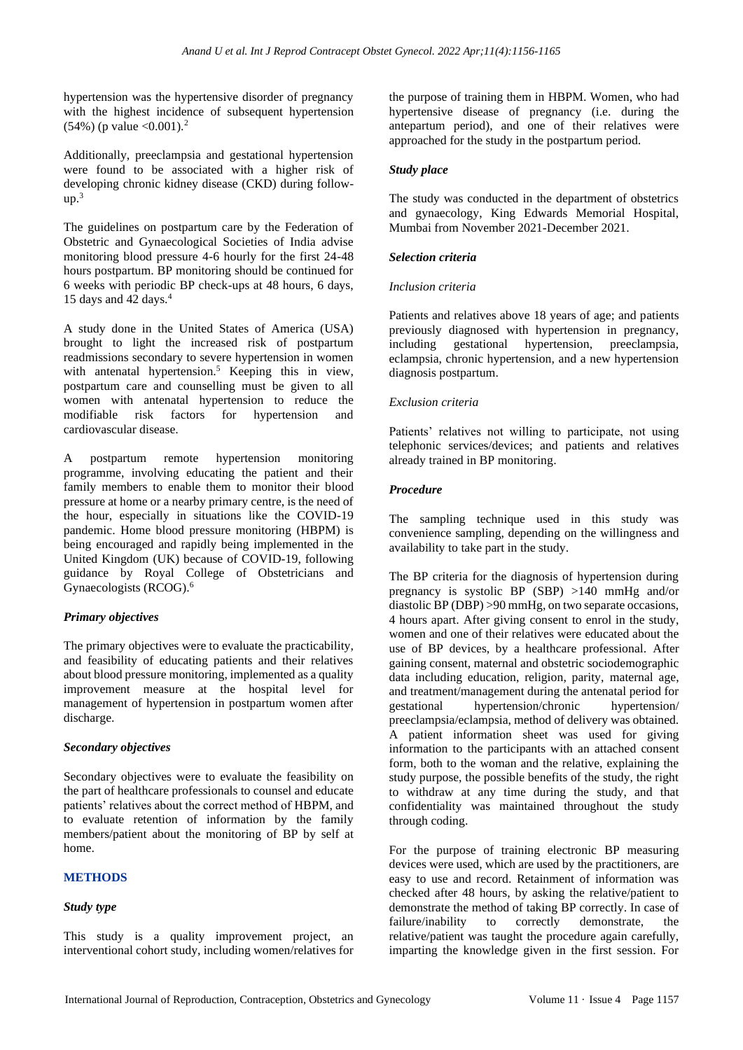hypertension was the hypertensive disorder of pregnancy with the highest incidence of subsequent hypertension  $(54\%)$  (p value < 0.001).<sup>2</sup>

Additionally, preeclampsia and gestational hypertension were found to be associated with a higher risk of developing chronic kidney disease (CKD) during follow $up.<sup>3</sup>$ 

The guidelines on postpartum care by the Federation of Obstetric and Gynaecological Societies of India advise monitoring blood pressure 4-6 hourly for the first 24-48 hours postpartum. BP monitoring should be continued for 6 weeks with periodic BP check-ups at 48 hours, 6 days, 15 days and 42 days.<sup>4</sup>

A study done in the United States of America (USA) brought to light the increased risk of postpartum readmissions secondary to severe hypertension in women with antenatal hypertension.<sup>5</sup> Keeping this in view, postpartum care and counselling must be given to all women with antenatal hypertension to reduce the modifiable risk factors for hypertension and cardiovascular disease.

A postpartum remote hypertension monitoring programme, involving educating the patient and their family members to enable them to monitor their blood pressure at home or a nearby primary centre, is the need of the hour, especially in situations like the COVID-19 pandemic. Home blood pressure monitoring (HBPM) is being encouraged and rapidly being implemented in the United Kingdom (UK) because of COVID-19, following guidance by Royal College of Obstetricians and Gynaecologists (RCOG). 6

# *Primary objectives*

The primary objectives were to evaluate the practicability, and feasibility of educating patients and their relatives about blood pressure monitoring, implemented as a quality improvement measure at the hospital level for management of hypertension in postpartum women after discharge.

# *Secondary objectives*

Secondary objectives were to evaluate the feasibility on the part of healthcare professionals to counsel and educate patients' relatives about the correct method of HBPM, and to evaluate retention of information by the family members/patient about the monitoring of BP by self at home.

# **METHODS**

# *Study type*

This study is a quality improvement project, an interventional cohort study, including women/relatives for the purpose of training them in HBPM. Women, who had hypertensive disease of pregnancy (i.e. during the antepartum period), and one of their relatives were approached for the study in the postpartum period.

#### *Study place*

The study was conducted in the department of obstetrics and gynaecology, King Edwards Memorial Hospital, Mumbai from November 2021-December 2021.

#### *Selection criteria*

#### *Inclusion criteria*

Patients and relatives above 18 years of age; and patients previously diagnosed with hypertension in pregnancy, including gestational hypertension, preeclampsia, eclampsia, chronic hypertension, and a new hypertension diagnosis postpartum.

#### *Exclusion criteria*

Patients' relatives not willing to participate, not using telephonic services/devices; and patients and relatives already trained in BP monitoring.

#### *Procedure*

The sampling technique used in this study was convenience sampling, depending on the willingness and availability to take part in the study.

The BP criteria for the diagnosis of hypertension during pregnancy is systolic BP (SBP) >140 mmHg and/or diastolic BP (DBP) >90 mmHg, on two separate occasions, 4 hours apart. After giving consent to enrol in the study, women and one of their relatives were educated about the use of BP devices, by a healthcare professional. After gaining consent, maternal and obstetric sociodemographic data including education, religion, parity, maternal age, and treatment/management during the antenatal period for gestational hypertension/chronic hypertension/ preeclampsia/eclampsia, method of delivery was obtained. A patient information sheet was used for giving information to the participants with an attached consent form, both to the woman and the relative, explaining the study purpose, the possible benefits of the study, the right to withdraw at any time during the study, and that confidentiality was maintained throughout the study through coding.

For the purpose of training electronic BP measuring devices were used, which are used by the practitioners, are easy to use and record. Retainment of information was checked after 48 hours, by asking the relative/patient to demonstrate the method of taking BP correctly. In case of failure/inability to correctly demonstrate, the relative/patient was taught the procedure again carefully, imparting the knowledge given in the first session. For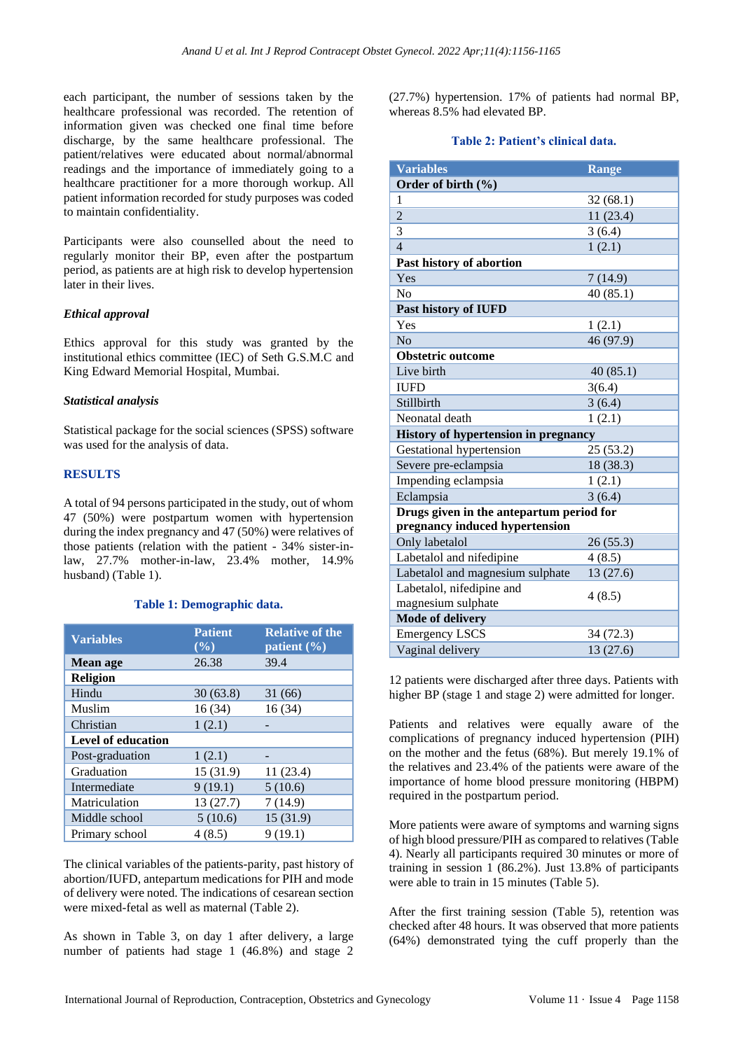each participant, the number of sessions taken by the healthcare professional was recorded. The retention of information given was checked one final time before discharge, by the same healthcare professional. The patient/relatives were educated about normal/abnormal readings and the importance of immediately going to a healthcare practitioner for a more thorough workup. All patient information recorded for study purposes was coded to maintain confidentiality.

Participants were also counselled about the need to regularly monitor their BP, even after the postpartum period, as patients are at high risk to develop hypertension later in their lives.

# *Ethical approval*

Ethics approval for this study was granted by the institutional ethics committee (IEC) of Seth G.S.M.C and King Edward Memorial Hospital, Mumbai.

#### *Statistical analysis*

Statistical package for the social sciences (SPSS) software was used for the analysis of data.

# **RESULTS**

A total of 94 persons participated in the study, out of whom 47 (50%) were postpartum women with hypertension during the index pregnancy and 47 (50%) were relatives of those patients (relation with the patient - 34% sister-inlaw, 27.7% mother-in-law, 23.4% mother, 14.9% husband) (Table 1).

#### **Table 1: Demographic data.**

| <b>Variables</b>          | <b>Patient</b><br>$(\%)$ | <b>Relative of the</b><br>patient $(\% )$ |
|---------------------------|--------------------------|-------------------------------------------|
| Mean age                  | 26.38                    | 39.4                                      |
| <b>Religion</b>           |                          |                                           |
| Hindu                     | 30(63.8)                 | 31(66)                                    |
| Muslim                    | 16(34)                   | 16(34)                                    |
| Christian                 | 1(2.1)                   |                                           |
| <b>Level of education</b> |                          |                                           |
| Post-graduation           | 1(2.1)                   |                                           |
| Graduation                | 15 (31.9)                | 11(23.4)                                  |
| Intermediate              | 9(19.1)                  | 5(10.6)                                   |
| Matriculation             | 13(27.7)                 | 7(14.9)                                   |
| Middle school             | 5(10.6)                  | 15(31.9)                                  |
| Primary school            | 4(8.5)                   | 9(19.1)                                   |

The clinical variables of the patients-parity, past history of abortion/IUFD, antepartum medications for PIH and mode of delivery were noted. The indications of cesarean section were mixed-fetal as well as maternal (Table 2).

As shown in Table 3, on day 1 after delivery, a large number of patients had stage 1 (46.8%) and stage 2 (27.7%) hypertension. 17% of patients had normal BP, whereas 8.5% had elevated BP.

#### **Table 2: Patient's clinical data.**

| <b>Variables</b>                         | <b>Range</b> |
|------------------------------------------|--------------|
| Order of birth $(\% )$                   |              |
| 1                                        | 32(68.1)     |
| $\overline{2}$                           | 11(23.4)     |
| 3                                        | 3(6.4)       |
| $\overline{4}$                           | 1(2.1)       |
| Past history of abortion                 |              |
| Yes                                      | 7(14.9)      |
| No                                       | 40(85.1)     |
| Past history of IUFD                     |              |
| Yes                                      | 1(2.1)       |
| No                                       | 46 (97.9)    |
| <b>Obstetric outcome</b>                 |              |
| Live birth                               | 40(85.1)     |
| <b>IUFD</b>                              | 3(6.4)       |
| Stillbirth                               | 3(6.4)       |
| Neonatal death                           | 1(2.1)       |
| History of hypertension in pregnancy     |              |
| Gestational hypertension                 | 25(53.2)     |
| Severe pre-eclampsia                     | 18 (38.3)    |
| Impending eclampsia                      | 1(2.1)       |
| Eclampsia                                | 3(6.4)       |
| Drugs given in the antepartum period for |              |
| pregnancy induced hypertension           |              |
| Only labetalol                           | 26(55.3)     |
| Labetalol and nifedipine                 | 4(8.5)       |
| Labetalol and magnesium sulphate         | 13 (27.6)    |
| Labetalol, nifedipine and                |              |
| magnesium sulphate                       | 4(8.5)       |
| <b>Mode of delivery</b>                  |              |
| <b>Emergency LSCS</b>                    | 34 (72.3)    |
| Vaginal delivery                         | 13 (27.6)    |

12 patients were discharged after three days. Patients with higher BP (stage 1 and stage 2) were admitted for longer.

Patients and relatives were equally aware of the complications of pregnancy induced hypertension (PIH) on the mother and the fetus (68%). But merely 19.1% of the relatives and 23.4% of the patients were aware of the importance of home blood pressure monitoring (HBPM) required in the postpartum period.

More patients were aware of symptoms and warning signs of high blood pressure/PIH as compared to relatives (Table 4). Nearly all participants required 30 minutes or more of training in session 1 (86.2%). Just 13.8% of participants were able to train in 15 minutes (Table 5).

After the first training session (Table 5), retention was checked after 48 hours. It was observed that more patients (64%) demonstrated tying the cuff properly than the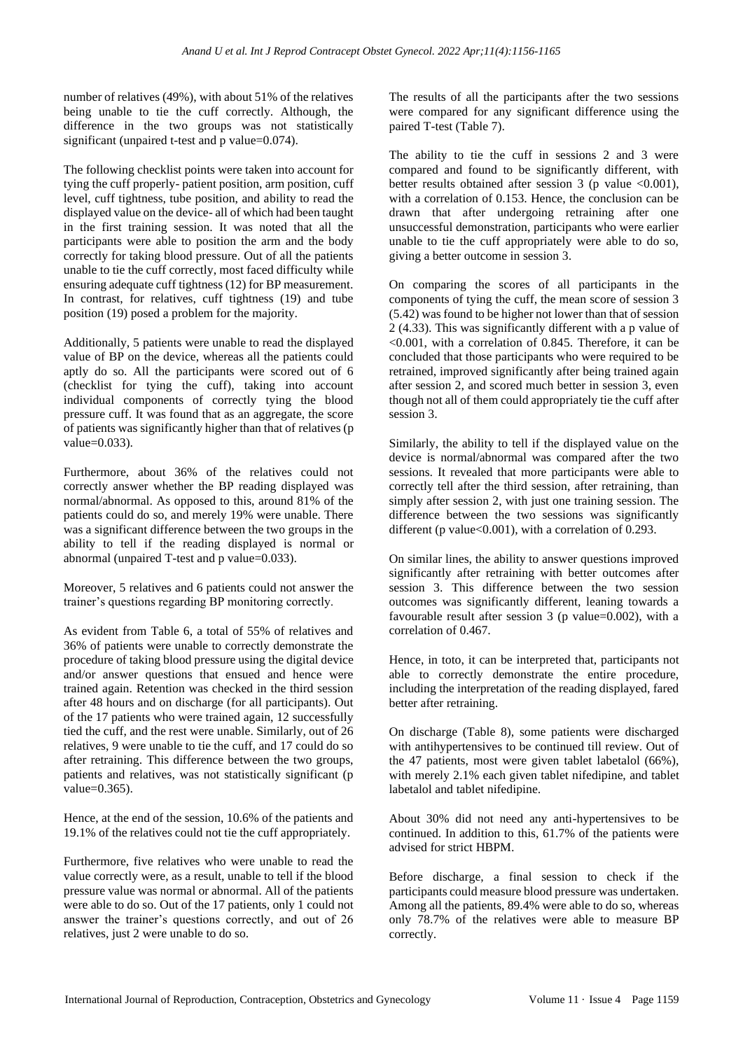number of relatives (49%), with about 51% of the relatives being unable to tie the cuff correctly. Although, the difference in the two groups was not statistically significant (unpaired t-test and p value=0.074).

The following checklist points were taken into account for tying the cuff properly- patient position, arm position, cuff level, cuff tightness, tube position, and ability to read the displayed value on the device- all of which had been taught in the first training session. It was noted that all the participants were able to position the arm and the body correctly for taking blood pressure. Out of all the patients unable to tie the cuff correctly, most faced difficulty while ensuring adequate cuff tightness (12) for BP measurement. In contrast, for relatives, cuff tightness (19) and tube position (19) posed a problem for the majority.

Additionally, 5 patients were unable to read the displayed value of BP on the device, whereas all the patients could aptly do so. All the participants were scored out of 6 (checklist for tying the cuff), taking into account individual components of correctly tying the blood pressure cuff. It was found that as an aggregate, the score of patients was significantly higher than that of relatives (p value=0.033).

Furthermore, about 36% of the relatives could not correctly answer whether the BP reading displayed was normal/abnormal. As opposed to this, around 81% of the patients could do so, and merely 19% were unable. There was a significant difference between the two groups in the ability to tell if the reading displayed is normal or abnormal (unpaired T-test and p value=0.033).

Moreover, 5 relatives and 6 patients could not answer the trainer's questions regarding BP monitoring correctly.

As evident from Table 6, a total of 55% of relatives and 36% of patients were unable to correctly demonstrate the procedure of taking blood pressure using the digital device and/or answer questions that ensued and hence were trained again. Retention was checked in the third session after 48 hours and on discharge (for all participants). Out of the 17 patients who were trained again, 12 successfully tied the cuff, and the rest were unable. Similarly, out of 26 relatives, 9 were unable to tie the cuff, and 17 could do so after retraining. This difference between the two groups, patients and relatives, was not statistically significant (p value=0.365).

Hence, at the end of the session, 10.6% of the patients and 19.1% of the relatives could not tie the cuff appropriately.

Furthermore, five relatives who were unable to read the value correctly were, as a result, unable to tell if the blood pressure value was normal or abnormal. All of the patients were able to do so. Out of the 17 patients, only 1 could not answer the trainer's questions correctly, and out of 26 relatives, just 2 were unable to do so.

The results of all the participants after the two sessions were compared for any significant difference using the paired T-test (Table 7).

The ability to tie the cuff in sessions 2 and 3 were compared and found to be significantly different, with better results obtained after session 3 (p value  $\leq 0.001$ ), with a correlation of 0.153. Hence, the conclusion can be drawn that after undergoing retraining after one unsuccessful demonstration, participants who were earlier unable to tie the cuff appropriately were able to do so, giving a better outcome in session 3.

On comparing the scores of all participants in the components of tying the cuff, the mean score of session 3 (5.42) was found to be higher not lower than that of session 2 (4.33). This was significantly different with a p value of <0.001, with a correlation of 0.845. Therefore, it can be concluded that those participants who were required to be retrained, improved significantly after being trained again after session 2, and scored much better in session 3, even though not all of them could appropriately tie the cuff after session 3.

Similarly, the ability to tell if the displayed value on the device is normal/abnormal was compared after the two sessions. It revealed that more participants were able to correctly tell after the third session, after retraining, than simply after session 2, with just one training session. The difference between the two sessions was significantly different (p value  $< 0.001$ ), with a correlation of 0.293.

On similar lines, the ability to answer questions improved significantly after retraining with better outcomes after session 3. This difference between the two session outcomes was significantly different, leaning towards a favourable result after session 3 (p value=0.002), with a correlation of 0.467.

Hence, in toto, it can be interpreted that, participants not able to correctly demonstrate the entire procedure, including the interpretation of the reading displayed, fared better after retraining.

On discharge (Table 8), some patients were discharged with antihypertensives to be continued till review. Out of the 47 patients, most were given tablet labetalol (66%), with merely 2.1% each given tablet nifedipine, and tablet labetalol and tablet nifedipine.

About 30% did not need any anti-hypertensives to be continued. In addition to this, 61.7% of the patients were advised for strict HBPM.

Before discharge, a final session to check if the participants could measure blood pressure was undertaken. Among all the patients, 89.4% were able to do so, whereas only 78.7% of the relatives were able to measure BP correctly.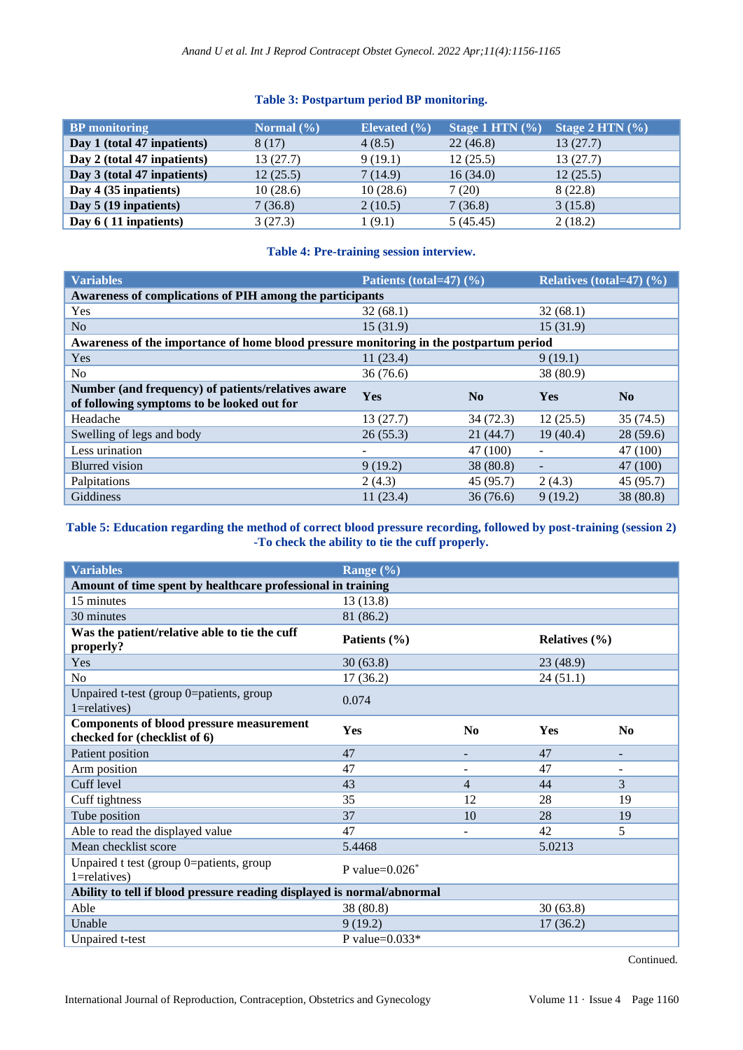# **Table 3: Postpartum period BP monitoring.**

| <b>BP</b> monitoring        | Normal $(\% )$ | Elevated $(\% )$ | Stage 1 HTN $(\% )$ | Stage 2 HTN $(\% )$ |
|-----------------------------|----------------|------------------|---------------------|---------------------|
| Day 1 (total 47 inpatients) | 8 (17)         | 4(8.5)           | 22(46.8)            | 13(27.7)            |
| Day 2 (total 47 inpatients) | 13(27.7)       | 9(19.1)          | 12(25.5)            | 13(27.7)            |
| Day 3 (total 47 inpatients) | 12(25.5)       | 7(14.9)          | 16(34.0)            | 12(25.5)            |
| Day 4 (35 inpatients)       | 10(28.6)       | 10(28.6)         | 7(20)               | 8(22.8)             |
| Day 5 (19 inpatients)       | 7(36.8)        | 2(10.5)          | 7(36.8)             | 3(15.8)             |
| Day $6(11$ inpatients)      | 3(27.3)        | (9.1)            | 5(45.45)            | 2(18.2)             |

# **Table 4: Pre-training session interview.**

| <b>Variables</b>                                                                                 | Patients (total=47) (%) |                | Relatives (total=47) $(\%$ ) |           |
|--------------------------------------------------------------------------------------------------|-------------------------|----------------|------------------------------|-----------|
| Awareness of complications of PIH among the participants                                         |                         |                |                              |           |
| Yes                                                                                              | 32(68.1)                |                | 32(68.1)                     |           |
| N <sub>o</sub>                                                                                   | 15(31.9)                |                | 15(31.9)                     |           |
| Awareness of the importance of home blood pressure monitoring in the postpartum period           |                         |                |                              |           |
| Yes                                                                                              | 11(23.4)                |                | 9(19.1)                      |           |
| No                                                                                               | 36(76.6)                |                | 38 (80.9)                    |           |
| Number (and frequency) of patients/relatives aware<br>of following symptoms to be looked out for | <b>Yes</b>              | N <sub>0</sub> | <b>Yes</b>                   | No        |
| Headache                                                                                         | 13(27.7)                | 34(72.3)       | 12(25.5)                     | 35(74.5)  |
| Swelling of legs and body                                                                        | 26(55.3)                | 21(44.7)       | 19(40.4)                     | 28(59.6)  |
| Less urination                                                                                   | -                       | 47 (100)       | $\qquad \qquad -$            | 47 (100)  |
| <b>Blurred</b> vision                                                                            | 9(19.2)                 | 38 (80.8)      |                              | 47 (100)  |
| Palpitations                                                                                     | 2(4.3)                  | 45(95.7)       | 2(4.3)                       | 45 (95.7) |
| Giddiness                                                                                        | 11(23.4)                | 36(76.6)       | 9(19.2)                      | 38 (80.8) |

# **Table 5: Education regarding the method of correct blood pressure recording, followed by post-training (session 2) -To check the ability to tie the cuff properly.**

| <b>Variables</b>                                                                | Range $(\% )$                 |                |                   |                |
|---------------------------------------------------------------------------------|-------------------------------|----------------|-------------------|----------------|
| Amount of time spent by healthcare professional in training                     |                               |                |                   |                |
| 15 minutes                                                                      | 13(13.8)                      |                |                   |                |
| 30 minutes                                                                      | 81 (86.2)                     |                |                   |                |
| Was the patient/relative able to tie the cuff<br>properly?                      | Patients (%)                  |                | Relatives $(\% )$ |                |
| Yes                                                                             | 30(63.8)                      |                | 23 (48.9)         |                |
| N <sub>0</sub>                                                                  | 17(36.2)                      |                | 24(51.1)          |                |
| Unpaired t-test (group 0=patients, group<br>$1 =$ relatives)                    | 0.074                         |                |                   |                |
| <b>Components of blood pressure measurement</b><br>checked for (checklist of 6) | Yes                           | $\bf N_0$      | Yes               | N <sub>0</sub> |
| Patient position                                                                | 47                            |                | 47                |                |
| Arm position                                                                    | 47                            |                | 47                |                |
| Cuff level                                                                      | 43                            | $\overline{4}$ | 44                | 3              |
| Cuff tightness                                                                  | 35                            | 12             | 28                | 19             |
| Tube position                                                                   | 37                            | 10             | 28                | 19             |
| Able to read the displayed value                                                | 47                            |                | 42                | 5              |
| Mean checklist score                                                            | 5.4468                        |                | 5.0213            |                |
| Unpaired t test (group 0=patients, group<br>$1 =$ relatives)                    | P value= $0.026$ <sup>*</sup> |                |                   |                |
| Ability to tell if blood pressure reading displayed is normal/abnormal          |                               |                |                   |                |
| Able                                                                            | 38 (80.8)                     |                | 30(63.8)          |                |
| Unable                                                                          | 9(19.2)                       |                | 17(36.2)          |                |
| Unpaired t-test                                                                 | P value= $0.033*$             |                |                   |                |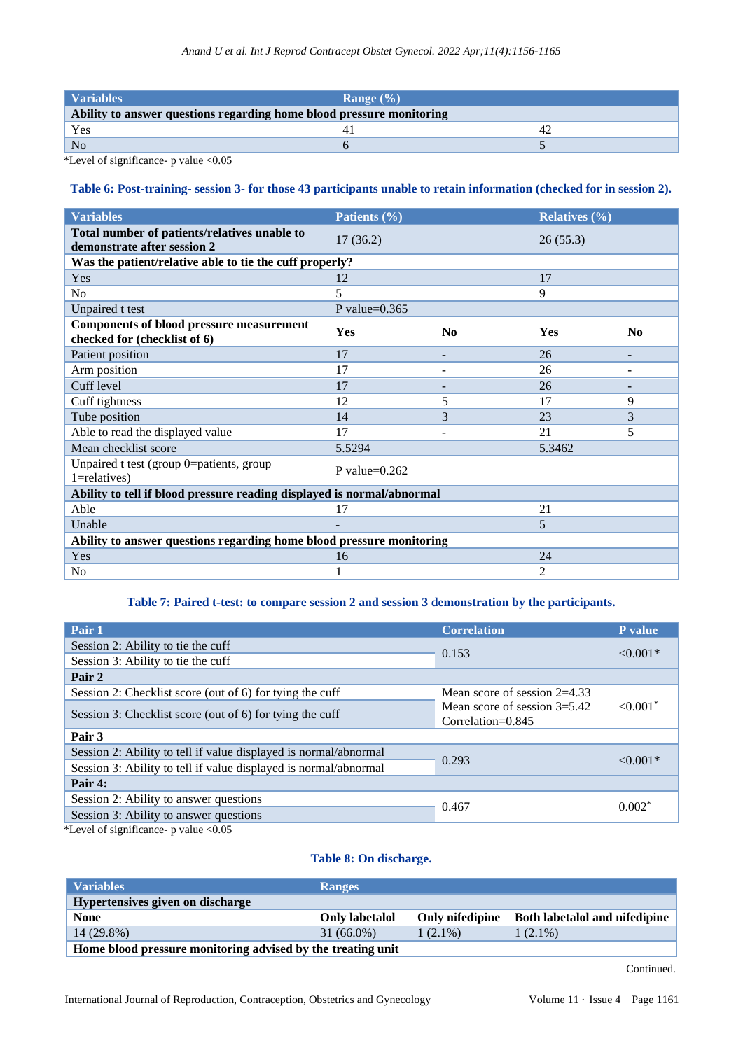| <b>Variables</b>                                                     | Range $(\% )$ |  |
|----------------------------------------------------------------------|---------------|--|
| Ability to answer questions regarding home blood pressure monitoring |               |  |
| Yes                                                                  |               |  |
| N <sub>o</sub>                                                       |               |  |

\*Level of significance-  $p$  value <0.05

# **Table 6: Post-training- session 3- for those 43 participants unable to retain information (checked for in session 2).**

| <b>Variables</b>                                                                | Patients (%)     |                          | Relatives $(\% )$ |                |
|---------------------------------------------------------------------------------|------------------|--------------------------|-------------------|----------------|
| Total number of patients/relatives unable to<br>demonstrate after session 2     | 17(36.2)         |                          | 26(55.3)          |                |
| Was the patient/relative able to tie the cuff properly?                         |                  |                          |                   |                |
| Yes                                                                             | 12               |                          | 17                |                |
| N <sub>o</sub>                                                                  | 5                |                          | 9                 |                |
| Unpaired t test                                                                 | P value= $0.365$ |                          |                   |                |
| <b>Components of blood pressure measurement</b><br>checked for (checklist of 6) | <b>Yes</b>       | N <sub>0</sub>           | Yes               | N <sub>0</sub> |
| Patient position                                                                | 17               |                          | 26                |                |
| Arm position                                                                    | 17               |                          | 26                |                |
| Cuff level                                                                      | 17               |                          | 26                |                |
| Cuff tightness                                                                  | 12               | 5                        | 17                | 9              |
| Tube position                                                                   | 14               | 3                        | 23                | 3              |
| Able to read the displayed value                                                | 17               | $\overline{\phantom{a}}$ | 21                | 5              |
| Mean checklist score                                                            | 5.5294           |                          | 5.3462            |                |
| Unpaired t test (group 0=patients, group<br>$1 =$ relatives)                    | P value= $0.262$ |                          |                   |                |
| Ability to tell if blood pressure reading displayed is normal/abnormal          |                  |                          |                   |                |
| Able                                                                            | 17               |                          | 21                |                |
| Unable                                                                          |                  |                          | 5                 |                |
| Ability to answer questions regarding home blood pressure monitoring            |                  |                          |                   |                |
| Yes                                                                             | 16               |                          | 24                |                |
| No                                                                              |                  |                          | 2                 |                |

# **Table 7: Paired t-test: to compare session 2 and session 3 demonstration by the participants.**

| Pair 1                                                           | <b>Correlation</b>             | P value                |  |
|------------------------------------------------------------------|--------------------------------|------------------------|--|
| Session 2: Ability to tie the cuff                               | 0.153                          | $< 0.001*$             |  |
| Session 3: Ability to tie the cuff                               |                                |                        |  |
| Pair 2                                                           |                                |                        |  |
| Session 2: Checklist score (out of 6) for tying the cuff         | Mean score of session $2=4.33$ |                        |  |
|                                                                  | Mean score of session $3=5.42$ | $< 0.001$ <sup>*</sup> |  |
| Session 3: Checklist score (out of 6) for tying the cuff         | $Correlation = 0.845$          |                        |  |
| Pair 3                                                           |                                |                        |  |
| Session 2: Ability to tell if value displayed is normal/abnormal |                                |                        |  |
| Session 3: Ability to tell if value displayed is normal/abnormal |                                |                        |  |
| Pair 4:                                                          |                                |                        |  |
| Session 2: Ability to answer questions                           |                                |                        |  |
| Session 3: Ability to answer questions                           |                                |                        |  |
|                                                                  | 0.293<br>0.467                 | $< 0.001*$<br>$0.002*$ |  |

\*Level of significance- p value <0.05

#### **Table 8: On discharge.**

| Variables                                                   | <b>Ranges</b>         |                 |                               |  |
|-------------------------------------------------------------|-----------------------|-----------------|-------------------------------|--|
| Hypertensives given on discharge                            |                       |                 |                               |  |
| <b>None</b>                                                 | <b>Only labetalol</b> | Only nifedipine | Both labetalol and nifedipine |  |
| 14 (29.8%)                                                  | $31(66.0\%)$          | $1(2.1\%)$      | $1(2.1\%)$                    |  |
| Home blood pressure monitoring advised by the treating unit |                       |                 |                               |  |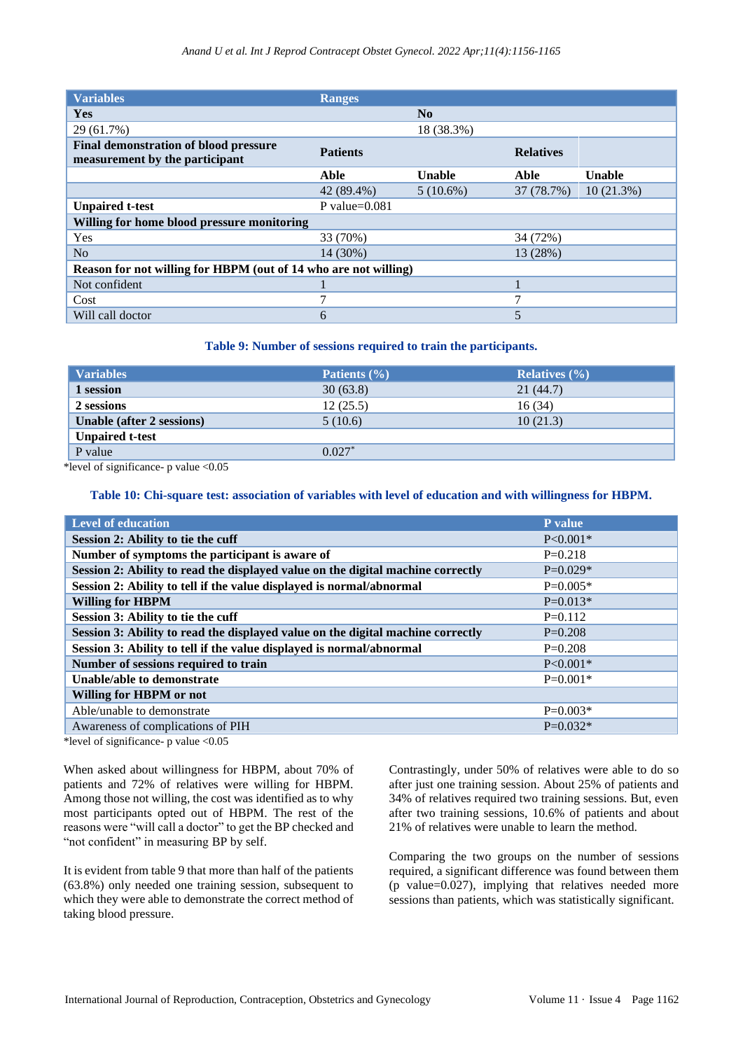| <b>Variables</b>                                                               | <b>Ranges</b>    |                |                  |               |
|--------------------------------------------------------------------------------|------------------|----------------|------------------|---------------|
| Yes                                                                            |                  | N <sub>0</sub> |                  |               |
| 29 (61.7%)                                                                     |                  | 18 (38.3%)     |                  |               |
| <b>Final demonstration of blood pressure</b><br>measurement by the participant | <b>Patients</b>  |                | <b>Relatives</b> |               |
|                                                                                | Able             | <b>Unable</b>  | Able             | <b>Unable</b> |
|                                                                                | 42 (89.4%)       | $5(10.6\%)$    | 37 (78.7%)       | 10(21.3%)     |
| <b>Unpaired t-test</b>                                                         | P value= $0.081$ |                |                  |               |
| Willing for home blood pressure monitoring                                     |                  |                |                  |               |
| Yes                                                                            | 33 (70%)         |                | 34 (72%)         |               |
| N <sub>o</sub>                                                                 | 14 (30%)         |                | 13 (28%)         |               |
| Reason for not willing for HBPM (out of 14 who are not willing)                |                  |                |                  |               |
| Not confident                                                                  |                  |                |                  |               |
| Cost                                                                           |                  |                |                  |               |
| Will call doctor                                                               | 6                |                |                  |               |

#### **Table 9: Number of sessions required to train the participants.**

| <b>Variables</b>          | Patients $(\% )$ | Relatives $(\% )$ |
|---------------------------|------------------|-------------------|
| 1 session                 | 30(63.8)         | 21(44.7)          |
| 2 sessions                | 12(25.5)         | 16(34)            |
| Unable (after 2 sessions) | 5(10.6)          | 10(21.3)          |
| <b>Unpaired t-test</b>    |                  |                   |
| P value                   | $0.027*$         |                   |

\*level of significance- p value <0.05

# **Table 10: Chi-square test: association of variables with level of education and with willingness for HBPM.**

| <b>Level of education</b>                                                       | P value      |
|---------------------------------------------------------------------------------|--------------|
| Session 2: Ability to tie the cuff                                              | $P < 0.001*$ |
| Number of symptoms the participant is aware of                                  | $P=0.218$    |
| Session 2: Ability to read the displayed value on the digital machine correctly | $P=0.029*$   |
| Session 2: Ability to tell if the value displayed is normal/abnormal            | $P=0.005*$   |
| <b>Willing for HBPM</b>                                                         | $P=0.013*$   |
| Session 3: Ability to tie the cuff                                              | $P=0.112$    |
| Session 3: Ability to read the displayed value on the digital machine correctly | $P=0.208$    |
| Session 3: Ability to tell if the value displayed is normal/abnormal            | $P=0.208$    |
| Number of sessions required to train                                            | $P < 0.001*$ |
| Unable/able to demonstrate                                                      | $P=0.001*$   |
| Willing for HBPM or not                                                         |              |
| Able/unable to demonstrate                                                      | $P=0.003*$   |
| Awareness of complications of PIH                                               | $P=0.032*$   |
|                                                                                 |              |

\*level of significance- p value <0.05

When asked about willingness for HBPM, about 70% of patients and 72% of relatives were willing for HBPM. Among those not willing, the cost was identified as to why most participants opted out of HBPM. The rest of the reasons were "will call a doctor" to get the BP checked and "not confident" in measuring BP by self.

It is evident from table 9 that more than half of the patients (63.8%) only needed one training session, subsequent to which they were able to demonstrate the correct method of taking blood pressure.

Contrastingly, under 50% of relatives were able to do so after just one training session. About 25% of patients and 34% of relatives required two training sessions. But, even after two training sessions, 10.6% of patients and about 21% of relatives were unable to learn the method.

Comparing the two groups on the number of sessions required, a significant difference was found between them (p value=0.027), implying that relatives needed more sessions than patients, which was statistically significant.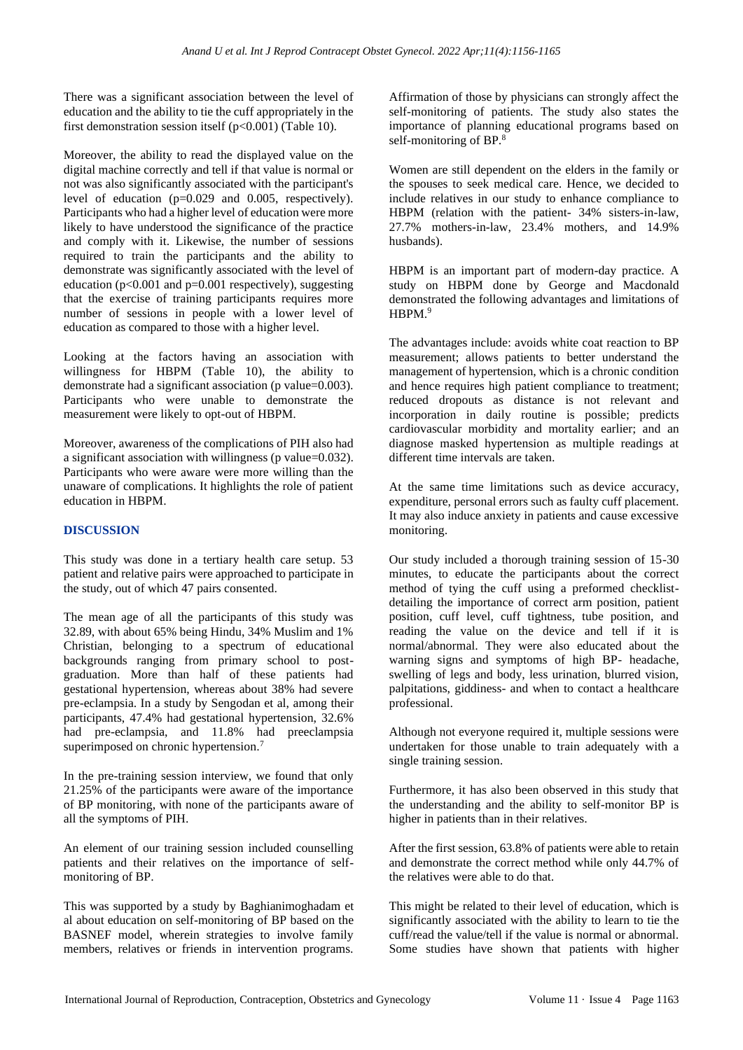There was a significant association between the level of education and the ability to tie the cuff appropriately in the first demonstration session itself ( $p<0.001$ ) (Table 10).

Moreover, the ability to read the displayed value on the digital machine correctly and tell if that value is normal or not was also significantly associated with the participant's level of education (p=0.029 and 0.005, respectively). Participants who had a higher level of education were more likely to have understood the significance of the practice and comply with it. Likewise, the number of sessions required to train the participants and the ability to demonstrate was significantly associated with the level of education ( $p<0.001$  and  $p=0.001$  respectively), suggesting that the exercise of training participants requires more number of sessions in people with a lower level of education as compared to those with a higher level.

Looking at the factors having an association with willingness for HBPM (Table 10), the ability to demonstrate had a significant association (p value=0.003). Participants who were unable to demonstrate the measurement were likely to opt-out of HBPM.

Moreover, awareness of the complications of PIH also had a significant association with willingness (p value=0.032). Participants who were aware were more willing than the unaware of complications. It highlights the role of patient education in HBPM.

# **DISCUSSION**

This study was done in a tertiary health care setup. 53 patient and relative pairs were approached to participate in the study, out of which 47 pairs consented.

The mean age of all the participants of this study was 32.89, with about 65% being Hindu, 34% Muslim and 1% Christian, belonging to a spectrum of educational backgrounds ranging from primary school to postgraduation. More than half of these patients had gestational hypertension, whereas about 38% had severe pre-eclampsia. In a study by Sengodan et al, among their participants, 47.4% had gestational hypertension, 32.6% had pre-eclampsia, and 11.8% had preeclampsia superimposed on chronic hypertension.<sup>7</sup>

In the pre-training session interview, we found that only 21.25% of the participants were aware of the importance of BP monitoring, with none of the participants aware of all the symptoms of PIH.

An element of our training session included counselling patients and their relatives on the importance of selfmonitoring of BP.

This was supported by a study by Baghianimoghadam et al about education on self-monitoring of BP based on the BASNEF model, wherein strategies to involve family members, relatives or friends in intervention programs. Affirmation of those by physicians can strongly affect the self-monitoring of patients. The study also states the importance of planning educational programs based on self-monitoring of BP.<sup>8</sup>

Women are still dependent on the elders in the family or the spouses to seek medical care. Hence, we decided to include relatives in our study to enhance compliance to HBPM (relation with the patient- 34% sisters-in-law, 27.7% mothers-in-law, 23.4% mothers, and 14.9% husbands).

HBPM is an important part of modern-day practice. A study on HBPM done by George and Macdonald demonstrated the following advantages and limitations of HBPM $9$ 

The advantages include: avoids white coat reaction to BP measurement; allows patients to better understand the management of hypertension, which is a chronic condition and hence requires high patient compliance to treatment; reduced dropouts as distance is not relevant and incorporation in daily routine is possible; predicts cardiovascular morbidity and mortality earlier; and an diagnose masked hypertension as multiple readings at different time intervals are taken.

At the same time limitations such as device accuracy, expenditure, personal errors such as faulty cuff placement. It may also induce anxiety in patients and cause excessive monitoring.

Our study included a thorough training session of 15-30 minutes, to educate the participants about the correct method of tying the cuff using a preformed checklistdetailing the importance of correct arm position, patient position, cuff level, cuff tightness, tube position, and reading the value on the device and tell if it is normal/abnormal. They were also educated about the warning signs and symptoms of high BP- headache, swelling of legs and body, less urination, blurred vision, palpitations, giddiness- and when to contact a healthcare professional.

Although not everyone required it, multiple sessions were undertaken for those unable to train adequately with a single training session.

Furthermore, it has also been observed in this study that the understanding and the ability to self-monitor BP is higher in patients than in their relatives.

After the first session, 63.8% of patients were able to retain and demonstrate the correct method while only 44.7% of the relatives were able to do that.

This might be related to their level of education, which is significantly associated with the ability to learn to tie the cuff/read the value/tell if the value is normal or abnormal. Some studies have shown that patients with higher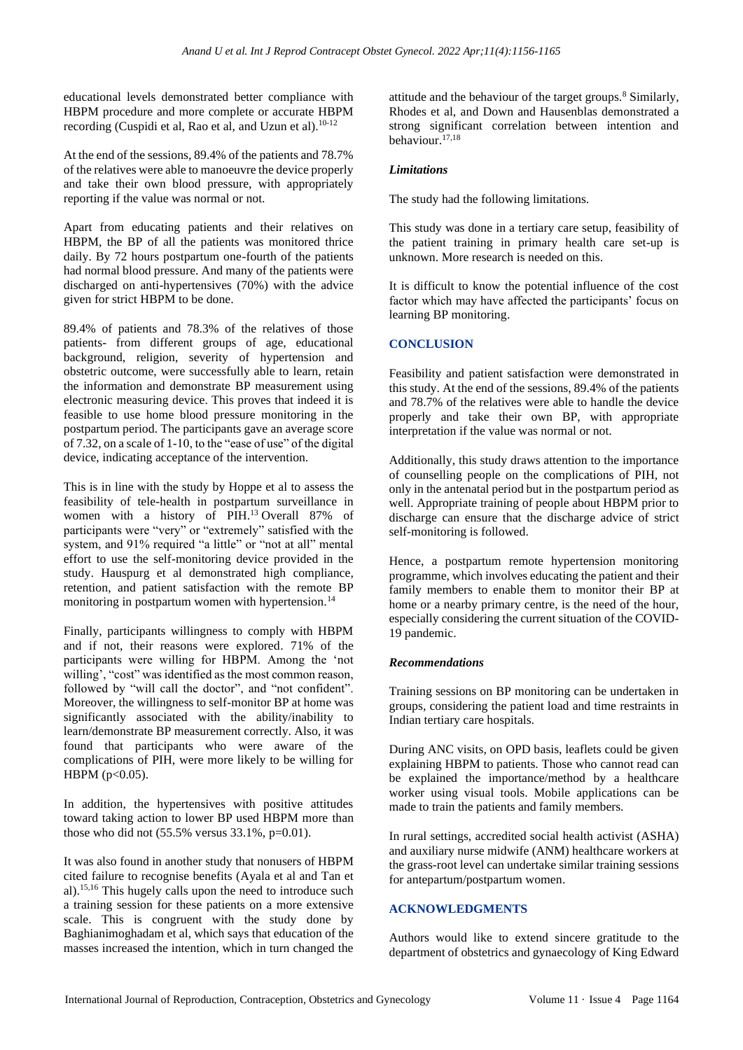educational levels demonstrated better compliance with HBPM procedure and more complete or accurate HBPM recording (Cuspidi et al. Rao et al, and Uzun et al).<sup>10-12</sup>

At the end of the sessions, 89.4% of the patients and 78.7% of the relatives were able to manoeuvre the device properly and take their own blood pressure, with appropriately reporting if the value was normal or not.

Apart from educating patients and their relatives on HBPM, the BP of all the patients was monitored thrice daily. By 72 hours postpartum one-fourth of the patients had normal blood pressure. And many of the patients were discharged on anti-hypertensives (70%) with the advice given for strict HBPM to be done.

89.4% of patients and 78.3% of the relatives of those patients- from different groups of age, educational background, religion, severity of hypertension and obstetric outcome, were successfully able to learn, retain the information and demonstrate BP measurement using electronic measuring device. This proves that indeed it is feasible to use home blood pressure monitoring in the postpartum period. The participants gave an average score of 7.32, on a scale of 1-10, to the "ease of use" of the digital device, indicating acceptance of the intervention.

This is in line with the study by Hoppe et al to assess the feasibility of tele-health in postpartum surveillance in women with a history of PIH. <sup>13</sup> Overall 87% of participants were "very" or "extremely" satisfied with the system, and 91% required "a little" or "not at all" mental effort to use the self-monitoring device provided in the study. Hauspurg et al demonstrated high compliance, retention, and patient satisfaction with the remote BP monitoring in postpartum women with hypertension.<sup>14</sup>

Finally, participants willingness to comply with HBPM and if not, their reasons were explored. 71% of the participants were willing for HBPM. Among the 'not willing', "cost" was identified as the most common reason, followed by "will call the doctor", and "not confident". Moreover, the willingness to self-monitor BP at home was significantly associated with the ability/inability to learn/demonstrate BP measurement correctly. Also, it was found that participants who were aware of the complications of PIH, were more likely to be willing for  $HBPM (p<0.05)$ .

In addition, the hypertensives with positive attitudes toward taking action to lower BP used HBPM more than those who did not (55.5% versus 33.1%, p=0.01).

It was also found in another study that nonusers of HBPM cited failure to recognise benefits (Ayala et al and Tan et al).15,16 This hugely calls upon the need to introduce such a training session for these patients on a more extensive scale. This is congruent with the study done by Baghianimoghadam et al, which says that education of the masses increased the intention, which in turn changed the attitude and the behaviour of the target groups.<sup>8</sup> Similarly, Rhodes et al, and Down and Hausenblas demonstrated a strong significant correlation between intention and behaviour.17,18

# *Limitations*

The study had the following limitations.

This study was done in a tertiary care setup, feasibility of the patient training in primary health care set-up is unknown. More research is needed on this.

It is difficult to know the potential influence of the cost factor which may have affected the participants' focus on learning BP monitoring.

# **CONCLUSION**

Feasibility and patient satisfaction were demonstrated in this study. At the end of the sessions, 89.4% of the patients and 78.7% of the relatives were able to handle the device properly and take their own BP, with appropriate interpretation if the value was normal or not.

Additionally, this study draws attention to the importance of counselling people on the complications of PIH, not only in the antenatal period but in the postpartum period as well. Appropriate training of people about HBPM prior to discharge can ensure that the discharge advice of strict self-monitoring is followed.

Hence, a postpartum remote hypertension monitoring programme, which involves educating the patient and their family members to enable them to monitor their BP at home or a nearby primary centre, is the need of the hour, especially considering the current situation of the COVID-19 pandemic.

# *Recommendations*

Training sessions on BP monitoring can be undertaken in groups, considering the patient load and time restraints in Indian tertiary care hospitals.

During ANC visits, on OPD basis, leaflets could be given explaining HBPM to patients. Those who cannot read can be explained the importance/method by a healthcare worker using visual tools. Mobile applications can be made to train the patients and family members.

In rural settings, accredited social health activist (ASHA) and auxiliary nurse midwife (ANM) healthcare workers at the grass-root level can undertake similar training sessions for antepartum/postpartum women.

# **ACKNOWLEDGMENTS**

Authors would like to extend sincere gratitude to the department of obstetrics and gynaecology of King Edward